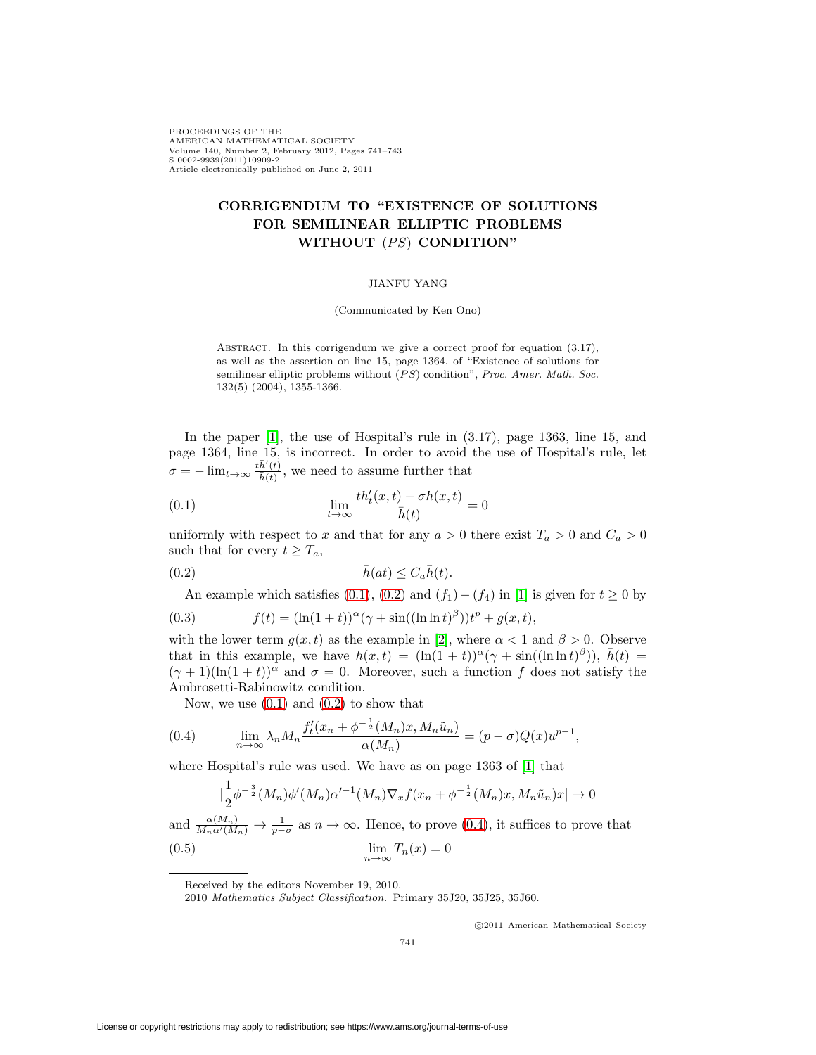PROCEEDINGS OF THE AMERICAN MATHEMATICAL SOCIETY Volume 140, Number 2, February 2012, Pages 741–743 S 0002-9939(2011)10909-2 Article electronically published on June 2, 2011

# **CORRIGENDUM TO "EXISTENCE OF SOLUTIONS FOR SEMILINEAR ELLIPTIC PROBLEMS WITHOUT** (PS) **CONDITION**"

### JIANFU YANG

(Communicated by Ken Ono)

ABSTRACT. In this corrigendum we give a correct proof for equation  $(3.17)$ , as well as the assertion on line 15, page 1364, of "Existence of solutions for semilinear elliptic problems without  $(PS)$  condition", Proc. Amer. Math. Soc. 132(5) (2004), 1355-1366.

In the paper [\[1\]](#page-2-0), the use of Hospital's rule in (3.17), page 1363, line 15, and page 1364, line 15, is incorrect. In order to avoid the use of Hospital's rule, let  $\sigma = -\lim_{t\to\infty} \frac{t\bar{h}'(t)}{\bar{h}(t)}$ , we need to assume further that

<span id="page-0-0"></span>(0.1) 
$$
\lim_{t \to \infty} \frac{th'_t(x,t) - \sigma h(x,t)}{\bar{h}(t)} = 0
$$

uniformly with respect to x and that for any  $a > 0$  there exist  $T_a > 0$  and  $C_a > 0$ such that for every  $t \geq T_a$ ,

<span id="page-0-1"></span>(0.2) 
$$
\bar{h}(at) \leq C_a \bar{h}(t).
$$

An example which satisfies [\(0.1\)](#page-0-0), [\(0.2\)](#page-0-1) and  $(f_1) - (f_4)$  in [\[1\]](#page-2-0) is given for  $t \ge 0$  by (0.3)  $f(t) = (\ln(1+t))^{\alpha} (\gamma + \sin((\ln \ln t)^{\beta})) t^{p} + g(x, t),$ 

with the lower term  $g(x, t)$  as the example in [\[2\]](#page-2-1), where  $\alpha < 1$  and  $\beta > 0$ . Observe that in this example, we have  $h(x,t) = (\ln(1+t))^{\alpha}(\gamma + \sin((\ln \ln t)^{\beta}))$ ,  $\bar{h}(t) =$  $(\gamma + 1)(\ln(1 + t))^{\alpha}$  and  $\sigma = 0$ . Moreover, such a function f does not satisfy the Ambrosetti-Rabinowitz condition.

Now, we use  $(0.1)$  and  $(0.2)$  to show that

<span id="page-0-2"></span>(0.4) 
$$
\lim_{n \to \infty} \lambda_n M_n \frac{f'_t(x_n + \phi^{-\frac{1}{2}}(M_n)x, M_n \tilde{u}_n)}{\alpha(M_n)} = (p - \sigma)Q(x)u^{p-1},
$$

where Hospital's rule was used. We have as on page 1363 of [\[1\]](#page-2-0) that

$$
|\frac{1}{2}\phi^{-\frac{3}{2}}(M_n)\phi'(M_n)\alpha'^{-1}(M_n)\nabla_x f(x_n+\phi^{-\frac{1}{2}}(M_n)x, M_n\tilde{u}_n)x| \to 0
$$

<span id="page-0-3"></span>and  $\frac{\alpha(M_n)}{M_n\alpha'(M_n)} \to \frac{1}{p-\sigma}$  as  $n \to \infty$ . Hence, to prove [\(0.4\)](#page-0-2), it suffices to prove that (0.5)  $\lim_{n\to\infty}T_n(x)=0$ 

2010 Mathematics Subject Classification. Primary 35J20, 35J25, 35J60.

-c 2011 American Mathematical Society

Received by the editors November 19, 2010.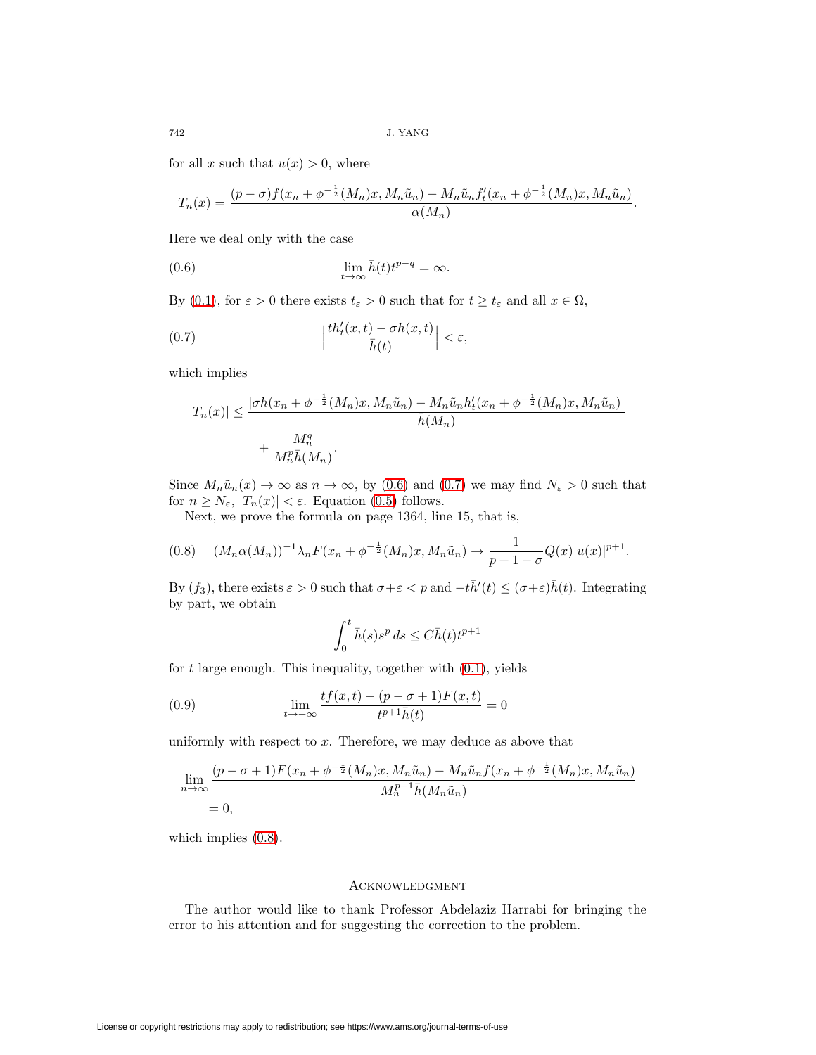for all x such that  $u(x) > 0$ , where

$$
T_n(x) = \frac{(p-\sigma)f(x_n + \phi^{-\frac{1}{2}}(M_n)x, M_n\tilde{u}_n) - M_n\tilde{u}_n f'_t(x_n + \phi^{-\frac{1}{2}}(M_n)x, M_n\tilde{u}_n)}{\alpha(M_n)}.
$$

Here we deal only with the case

<span id="page-1-0"></span>(0.6) 
$$
\lim_{t \to \infty} \bar{h}(t)t^{p-q} = \infty.
$$

By [\(0.1\)](#page-0-0), for  $\varepsilon > 0$  there exists  $t_{\varepsilon} > 0$  such that for  $t \ge t_{\varepsilon}$  and all  $x \in \Omega$ ,

(0.7) 
$$
\left|\frac{th'_t(x,t)-\sigma h(x,t)}{\bar{h}(t)}\right|<\varepsilon,
$$

which implies

<span id="page-1-1"></span>
$$
|T_n(x)| \le \frac{|\sigma h(x_n + \phi^{-\frac{1}{2}}(M_n)x, M_n\tilde{u}_n) - M_n\tilde{u}_n h'_t(x_n + \phi^{-\frac{1}{2}}(M_n)x, M_n\tilde{u}_n)|}{\bar{h}(M_n)} + \frac{M_n^q}{M_n^p \bar{h}(M_n)}.
$$

Since  $M_n\tilde{u}_n(x) \to \infty$  as  $n \to \infty$ , by [\(0.6\)](#page-1-0) and [\(0.7\)](#page-1-1) we may find  $N_{\varepsilon} > 0$  such that for  $n \geq N_{\varepsilon}$ ,  $|T_n(x)| < \varepsilon$ . Equation [\(0.5\)](#page-0-3) follows.

Next, we prove the formula on page 1364, line 15, that is,

<span id="page-1-2"></span>
$$
(0.8) \quad (M_n \alpha(M_n))^{-1} \lambda_n F(x_n + \phi^{-\frac{1}{2}}(M_n)x, M_n \tilde{u}_n) \to \frac{1}{p+1-\sigma} Q(x) |u(x)|^{p+1}.
$$

By  $(f_3)$ , there exists  $\varepsilon > 0$  such that  $\sigma + \varepsilon < p$  and  $-t\bar{h}'(t) \leq (\sigma + \varepsilon)\bar{h}(t)$ . Integrating by part, we obtain

$$
\int_0^t \bar{h}(s)s^p ds \le C\bar{h}(t)t^{p+1}
$$

for  $t$  large enough. This inequality, together with  $(0.1)$ , yields

(0.9) 
$$
\lim_{t \to +\infty} \frac{tf(x,t) - (p - \sigma + 1)F(x,t)}{t^{p+1}\bar{h}(t)} = 0
$$

uniformly with respect to  $x$ . Therefore, we may deduce as above that

$$
\lim_{n \to \infty} \frac{(p - \sigma + 1)F(x_n + \phi^{-\frac{1}{2}}(M_n)x, M_n\tilde{u}_n) - M_n\tilde{u}_n f(x_n + \phi^{-\frac{1}{2}}(M_n)x, M_n\tilde{u}_n)}{M_n^{p+1}\bar{h}(M_n\tilde{u}_n)} = 0,
$$

which implies  $(0.8)$ .

#### Acknowledgment

The author would like to thank Professor Abdelaziz Harrabi for bringing the error to his attention and for suggesting the correction to the problem.